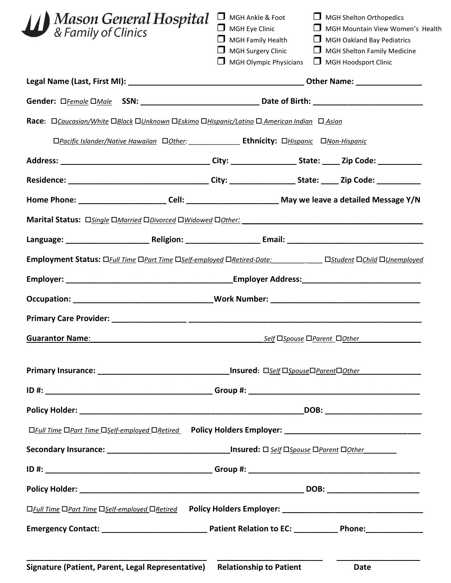| Mason General Hospital<br>& Family of Clinics                                                              | MGH Ankle & Foot<br>$\Box$ MGH Eye Clinic<br>$\Box$ MGH Family Health<br>$\Box$ MGH Surgery Clinic<br><b>MGH Olympic Physicians</b> | $\Box$ MGH Shelton Orthopedics<br>MGH Mountain View Women's Health<br>MGH Oakland Bay Pediatrics<br>MGH Shelton Family Medicine<br>$\Box$<br>$\Box$ MGH Hoodsport Clinic |
|------------------------------------------------------------------------------------------------------------|-------------------------------------------------------------------------------------------------------------------------------------|--------------------------------------------------------------------------------------------------------------------------------------------------------------------------|
|                                                                                                            |                                                                                                                                     |                                                                                                                                                                          |
|                                                                                                            |                                                                                                                                     |                                                                                                                                                                          |
| Race: OCaucasian/White OBlack OUnknown OEskimo OHispanic/Latino O American Indian O Asian                  |                                                                                                                                     |                                                                                                                                                                          |
| OPacific Islander/Native Hawaiian Oother: ___________ Ethnicity: OHispanic ONon-Hispanic                   |                                                                                                                                     |                                                                                                                                                                          |
|                                                                                                            |                                                                                                                                     |                                                                                                                                                                          |
|                                                                                                            |                                                                                                                                     |                                                                                                                                                                          |
|                                                                                                            |                                                                                                                                     |                                                                                                                                                                          |
|                                                                                                            |                                                                                                                                     |                                                                                                                                                                          |
|                                                                                                            |                                                                                                                                     |                                                                                                                                                                          |
| Employment Status: OFull Time OPart Time OSelf-employed ORetired-Date: Distudent OChild OUnemployed        |                                                                                                                                     |                                                                                                                                                                          |
|                                                                                                            |                                                                                                                                     |                                                                                                                                                                          |
|                                                                                                            |                                                                                                                                     |                                                                                                                                                                          |
|                                                                                                            |                                                                                                                                     |                                                                                                                                                                          |
| <b>Guarantor Name:</b>                                                                                     | Self DSpouse DParent DOther                                                                                                         |                                                                                                                                                                          |
| Primary Insurance: ___________________________________Insured: Dself DspouseDParentDOther_________________ |                                                                                                                                     |                                                                                                                                                                          |
|                                                                                                            |                                                                                                                                     | DOB: ___________________________                                                                                                                                         |
| □Full Time □Part Time □Self-employed □Retired                                                              |                                                                                                                                     |                                                                                                                                                                          |
| Secondary Insurance: _______________________________Insured: □ self □ Spouse □ Parent □ Other              |                                                                                                                                     |                                                                                                                                                                          |
|                                                                                                            |                                                                                                                                     |                                                                                                                                                                          |
|                                                                                                            |                                                                                                                                     |                                                                                                                                                                          |
| □ Full Time □ Part Time □ Self-employed □ Retired                                                          |                                                                                                                                     |                                                                                                                                                                          |
|                                                                                                            |                                                                                                                                     |                                                                                                                                                                          |
| Signature (Patient, Parent, Legal Representative)                                                          | <b>Relationship to Patient</b>                                                                                                      | Date                                                                                                                                                                     |